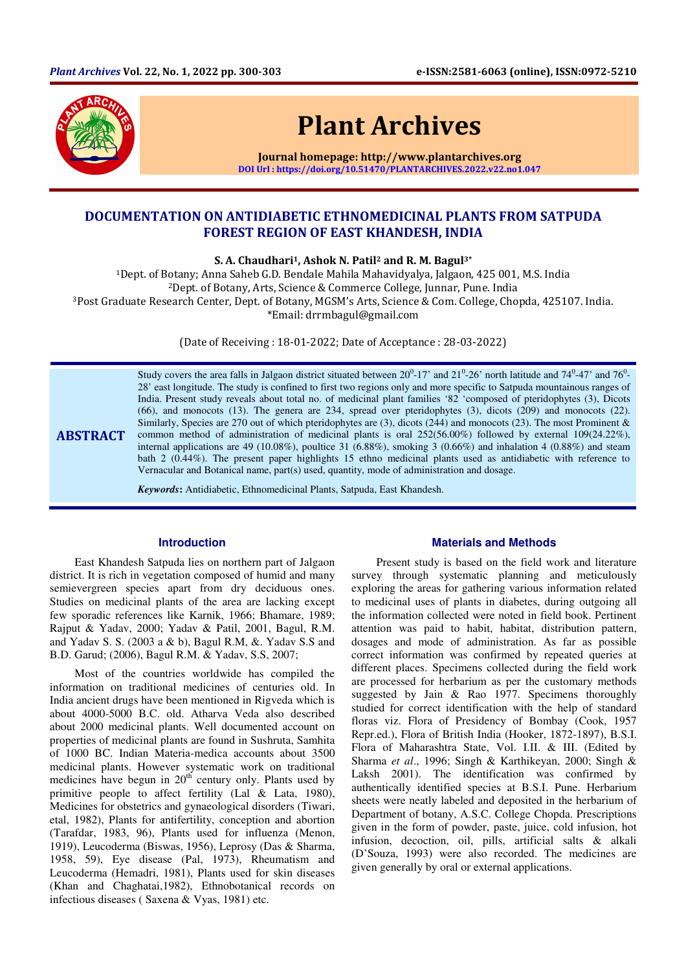

# Plant Archives

Journal homepage: http://www.plantarchives.org DOI Url : https://doi.org/10.51470/PLANTARCHIVES.2022.v22.no1.047

# DOCUMENTATION ON ANTIDIABETIC ETHNOMEDICINAL PLANTS FROM SATPUDA FOREST REGION OF EAST KHANDESH, INDIA

S. A. Chaudhari<sup>1</sup>, Ashok N. Patil<sup>2</sup> and R. M. Bagul<sup>3\*</sup>

Dept. of Botany; Anna Saheb G.D. Bendale Mahila Mahavidyalya, Jalgaon, 425 001, M.S. India Dept. of Botany, Arts, Science & Commerce College, Junnar, Pune. India Post Graduate Research Center, Dept. of Botany, MGSM's Arts, Science & Com. College, Chopda, 425107. India. \*Email: drrmbagul@gmail.com

(Date of Receiving : 18-01-2022; Date of Acceptance : 28-03-2022)

ABSTRACT Study covers the area falls in Jalgaon district situated between  $20^0$ -17' and  $21^0$ -26' north latitude and  $74^0$ -47' and  $76^0$ -28' east longitude. The study is confined to first two regions only and more specific to Satpuda mountainous ranges of India. Present study reveals about total no. of medicinal plant families '82 'composed of pteridophytes (3), Dicots (66), and monocots (13). The genera are 234, spread over pteridophytes (3), dicots (209) and monocots (22). Similarly, Species are 270 out of which pteridophytes are (3), dicots (244) and monocots (23). The most Prominent & common method of administration of medicinal plants is oral 252(56.00%) followed by external 109(24.22%), internal applications are 49 (10.08%), poultice 31 (6.88%), smoking 3 (0.66%) and inhalation 4 (0.88%) and steam bath 2 (0.44%). The present paper highlights 15 ethno medicinal plants used as antidiabetic with reference to Vernacular and Botanical name, part(s) used, quantity, mode of administration and dosage.

*Keywords***:** Antidiabetic, Ethnomedicinal Plants, Satpuda, East Khandesh.

#### **Introduction**

East Khandesh Satpuda lies on northern part of Jalgaon district. It is rich in vegetation composed of humid and many semievergreen species apart from dry deciduous ones. Studies on medicinal plants of the area are lacking except few sporadic references like Karnik, 1966; Bhamare, 1989; Rajput & Yadav, 2000; Yadav & Patil, 2001, Bagul, R.M. and Yadav S. S. (2003 a & b), Bagul R.M, &. Yadav S.S and B.D. Garud; (2006), Bagul R.M. & Yadav, S.S, 2007;

Most of the countries worldwide has compiled the information on traditional medicines of centuries old. In India ancient drugs have been mentioned in Rigveda which is about 4000-5000 B.C. old. Atharva Veda also described about 2000 medicinal plants. Well documented account on properties of medicinal plants are found in Sushruta, Samhita of 1000 BC. Indian Materia-medica accounts about 3500 medicinal plants. However systematic work on traditional medicines have begun in  $20<sup>th</sup>$  century only. Plants used by primitive people to affect fertility (Lal & Lata, 1980), Medicines for obstetrics and gynaeological disorders (Tiwari, etal, 1982), Plants for antifertility, conception and abortion (Tarafdar, 1983, 96), Plants used for influenza (Menon, 1919), Leucoderma (Biswas, 1956), Leprosy (Das & Sharma, 1958, 59), Eye disease (Pal, 1973), Rheumatism and Leucoderma (Hemadri, 1981), Plants used for skin diseases (Khan and Chaghatai,1982), Ethnobotanical records on infectious diseases ( Saxena & Vyas, 1981) etc.

#### **Materials and Methods**

Present study is based on the field work and literature survey through systematic planning and meticulously exploring the areas for gathering various information related to medicinal uses of plants in diabetes, during outgoing all the information collected were noted in field book. Pertinent attention was paid to habit, habitat, distribution pattern, dosages and mode of administration. As far as possible correct information was confirmed by repeated queries at different places. Specimens collected during the field work are processed for herbarium as per the customary methods suggested by Jain & Rao 1977. Specimens thoroughly studied for correct identification with the help of standard floras viz. Flora of Presidency of Bombay (Cook, 1957 Repr.ed.), Flora of British India (Hooker, 1872-1897), B.S.I. Flora of Maharashtra State, Vol. I.II. & III. (Edited by Sharma *et al*., 1996; Singh & Karthikeyan, 2000; Singh & Laksh 2001). The identification was confirmed by authentically identified species at B.S.I. Pune. Herbarium sheets were neatly labeled and deposited in the herbarium of Department of botany, A.S.C. College Chopda. Prescriptions given in the form of powder, paste, juice, cold infusion, hot infusion, decoction, oil, pills, artificial salts & alkali (D'Souza, 1993) were also recorded. The medicines are given generally by oral or external applications.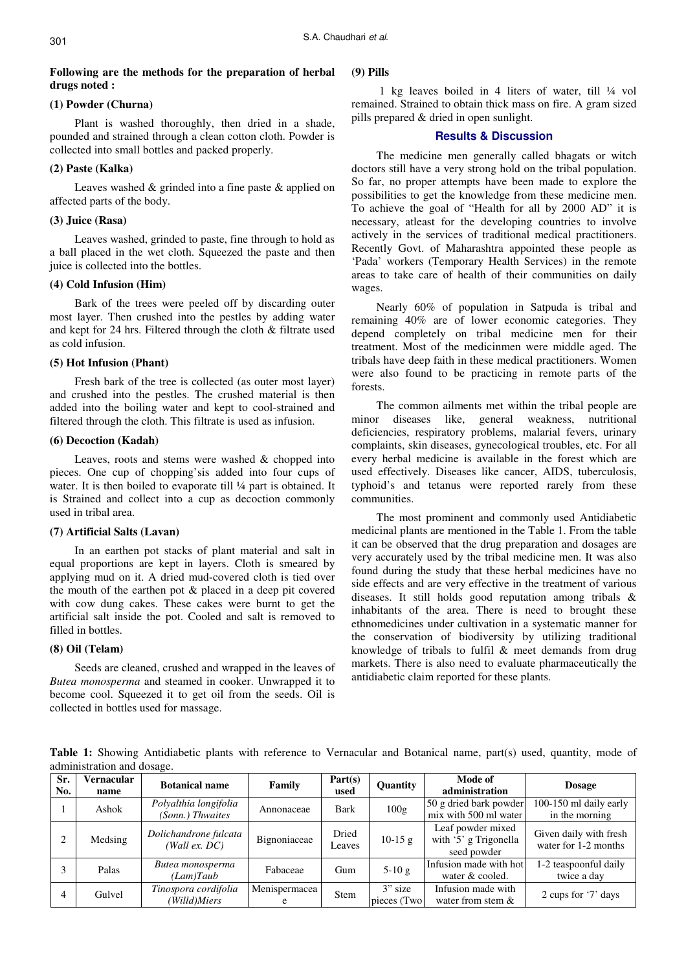## **Following are the methods for the preparation of herbal drugs noted :**

## **(1) Powder (Churna)**

Plant is washed thoroughly, then dried in a shade, pounded and strained through a clean cotton cloth. Powder is collected into small bottles and packed properly.

## **(2) Paste (Kalka)**

Leaves washed & grinded into a fine paste & applied on affected parts of the body.

## **(3) Juice (Rasa)**

Leaves washed, grinded to paste, fine through to hold as a ball placed in the wet cloth. Squeezed the paste and then juice is collected into the bottles.

## **(4) Cold Infusion (Him)**

Bark of the trees were peeled off by discarding outer most layer. Then crushed into the pestles by adding water and kept for 24 hrs. Filtered through the cloth & filtrate used as cold infusion.

## **(5) Hot Infusion (Phant)**

Fresh bark of the tree is collected (as outer most layer) and crushed into the pestles. The crushed material is then added into the boiling water and kept to cool-strained and filtered through the cloth. This filtrate is used as infusion.

#### **(6) Decoction (Kadah)**

Leaves, roots and stems were washed & chopped into pieces. One cup of chopping'sis added into four cups of water. It is then boiled to evaporate till ¼ part is obtained. It is Strained and collect into a cup as decoction commonly used in tribal area.

## **(7) Artificial Salts (Lavan)**

In an earthen pot stacks of plant material and salt in equal proportions are kept in layers. Cloth is smeared by applying mud on it. A dried mud-covered cloth is tied over the mouth of the earthen pot & placed in a deep pit covered with cow dung cakes. These cakes were burnt to get the artificial salt inside the pot. Cooled and salt is removed to filled in bottles.

## **(8) Oil (Telam)**

Seeds are cleaned, crushed and wrapped in the leaves of *Butea monosperma* and steamed in cooker. Unwrapped it to become cool. Squeezed it to get oil from the seeds. Oil is collected in bottles used for massage.

## **(9) Pills**

 1 kg leaves boiled in 4 liters of water, till ¼ vol remained. Strained to obtain thick mass on fire. A gram sized pills prepared & dried in open sunlight.

## **Results & Discussion**

The medicine men generally called bhagats or witch doctors still have a very strong hold on the tribal population. So far, no proper attempts have been made to explore the possibilities to get the knowledge from these medicine men. To achieve the goal of "Health for all by 2000 AD" it is necessary, atleast for the developing countries to involve actively in the services of traditional medical practitioners. Recently Govt. of Maharashtra appointed these people as 'Pada' workers (Temporary Health Services) in the remote areas to take care of health of their communities on daily wages.

Nearly 60% of population in Satpuda is tribal and remaining 40% are of lower economic categories. They depend completely on tribal medicine men for their treatment. Most of the medicinmen were middle aged. The tribals have deep faith in these medical practitioners. Women were also found to be practicing in remote parts of the forests.

The common ailments met within the tribal people are minor diseases like, general weakness, nutritional deficiencies, respiratory problems, malarial fevers, urinary complaints, skin diseases, gynecological troubles, etc. For all every herbal medicine is available in the forest which are used effectively. Diseases like cancer, AIDS, tuberculosis, typhoid's and tetanus were reported rarely from these communities.

The most prominent and commonly used Antidiabetic medicinal plants are mentioned in the Table 1. From the table it can be observed that the drug preparation and dosages are very accurately used by the tribal medicine men. It was also found during the study that these herbal medicines have no side effects and are very effective in the treatment of various diseases. It still holds good reputation among tribals & inhabitants of the area. There is need to brought these ethnomedicines under cultivation in a systematic manner for the conservation of biodiversity by utilizing traditional knowledge of tribals to fulfil & meet demands from drug markets. There is also need to evaluate pharmaceutically the antidiabetic claim reported for these plants.

Table 1: Showing Antidiabetic plants with reference to Vernacular and Botanical name, part(s) used, quantity, mode of administration and dosage.

| Sr.<br>No. | Vernacular<br>name | <b>Botanical name</b>                     | Family        | Part(s)<br>used | Quantity                 | Mode of<br>administration                                 | <b>Dosage</b>                                  |
|------------|--------------------|-------------------------------------------|---------------|-----------------|--------------------------|-----------------------------------------------------------|------------------------------------------------|
|            | Ashok              | Polyalthia longifolia<br>(Sonn.) Thwaites | Annonaceae    | Bark            | 100 <sub>g</sub>         | 50 g dried bark powder<br>mix with 500 ml water           | 100-150 ml daily early<br>in the morning       |
|            | Medsing            | Dolichandrone fulcata<br>(Wall ex. DC)    | Bignoniaceae  | Dried<br>Leaves | $10-15$ g                | Leaf powder mixed<br>with '5' g Trigonella<br>seed powder | Given daily with fresh<br>water for 1-2 months |
|            | Palas              | Butea monosperma<br>(Lam)Taub             | Fabaceae      | Gum             | $5-10g$                  | Infusion made with hot<br>water & cooled.                 | 1-2 teaspoonful daily<br>twice a day           |
| 4          | Gulvel             | Tinospora cordifolia<br>(Willd)Miers      | Menispermacea | <b>Stem</b>     | $3"$ size<br>pieces (Two | Infusion made with<br>water from stem $\&$                | 2 cups for '7' days                            |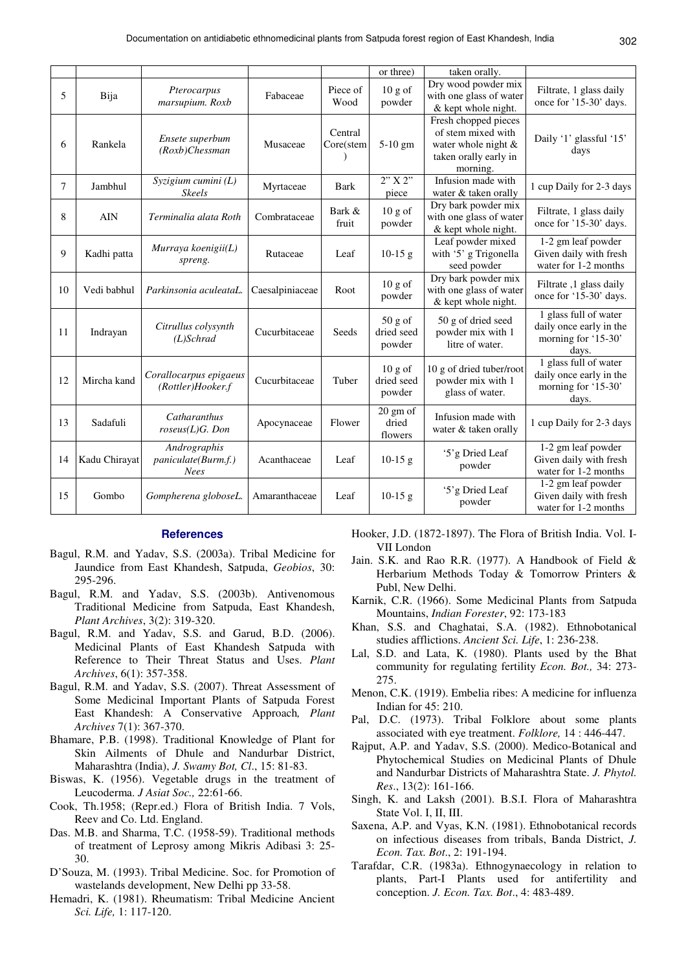|    |               |                                                    |                 |                      | or three)                              | taken orally.                                                                                          |                                                                                  |
|----|---------------|----------------------------------------------------|-----------------|----------------------|----------------------------------------|--------------------------------------------------------------------------------------------------------|----------------------------------------------------------------------------------|
| 5  | Bija          | Pterocarpus<br>marsupium. Roxb                     | Fabaceae        | Piece of<br>Wood     | 10 g of<br>powder                      | Dry wood powder mix<br>with one glass of water<br>& kept whole night.                                  | Filtrate, 1 glass daily<br>once for '15-30' days.                                |
| 6  | Rankela       | Ensete superbum<br>$(Roxb)$ Chessman               | Musaceae        | Central<br>Core(stem | 5-10 gm                                | Fresh chopped pieces<br>of stem mixed with<br>water whole night &<br>taken orally early in<br>morning. | Daily '1' glassful '15'<br>days                                                  |
| 7  | Jambhul       | Syzigium cumini (L)<br><b>Skeels</b>               | Myrtaceae       | <b>Bark</b>          | 2"X2"<br>piece                         | Infusion made with<br>water & taken orally                                                             | 1 cup Daily for 2-3 days                                                         |
| 8  | <b>AIN</b>    | Terminalia alata Roth                              | Combrataceae    | Bark &<br>fruit      | 10 g of<br>powder                      | Dry bark powder mix<br>with one glass of water<br>& kept whole night.                                  | Filtrate, 1 glass daily<br>once for '15-30' days.                                |
| 9  | Kadhi patta   | Murraya koenigii(L)<br>spreng.                     | Rutaceae        | Leaf                 | $10-15$ g                              | Leaf powder mixed<br>with '5' g Trigonella<br>seed powder                                              | 1-2 gm leaf powder<br>Given daily with fresh<br>water for 1-2 months             |
| 10 | Vedi babhul   | Parkinsonia aculeataL.                             | Caesalpiniaceae | Root                 | 10 g of<br>powder                      | Dry bark powder mix<br>with one glass of water<br>& kept whole night.                                  | Filtrate, 1 glass daily<br>once for '15-30' days.                                |
| 11 | Indrayan      | Citrullus colysynth<br>$(L)$ Schrad                | Cucurbitaceae   | Seeds                | $50 g$ of<br>dried seed<br>powder      | 50 g of dried seed<br>powder mix with 1<br>litre of water.                                             | 1 glass full of water<br>daily once early in the<br>morning for '15-30'<br>days. |
| 12 | Mircha kand   | Corallocarpus epigaeus<br>(Rottler)Hooker.f        | Cucurbitaceae   | Tuber                | $10 g$ of<br>dried seed<br>powder      | 10 g of dried tuber/root<br>powder mix with 1<br>glass of water.                                       | 1 glass full of water<br>daily once early in the<br>morning for '15-30'<br>days. |
| 13 | Sadafuli      | Catharanthus<br>$roseus(L)G.$ Don                  | Apocynaceae     | Flower               | $20 \text{ gm of}$<br>dried<br>flowers | Infusion made with<br>water & taken orally                                                             | 1 cup Daily for 2-3 days                                                         |
| 14 | Kadu Chirayat | Andrographis<br>paniculate(Burm.f.)<br><b>Nees</b> | Acanthaceae     | Leaf                 | $10-15$ g                              | '5'g Dried Leaf<br>powder                                                                              | 1-2 gm leaf powder<br>Given daily with fresh<br>water for 1-2 months             |
| 15 | Gombo         | Gompherena globoseL.                               | Amaranthaceae   | Leaf                 | $10-15$ g                              | '5'g Dried Leaf<br>powder                                                                              | 1-2 gm leaf powder<br>Given daily with fresh<br>water for 1-2 months             |

#### **References**

- Bagul, R.M. and Yadav, S.S. (2003a). Tribal Medicine for Jaundice from East Khandesh, Satpuda, *Geobios*, 30: 295-296.
- Bagul, R.M. and Yadav, S.S. (2003b). Antivenomous Traditional Medicine from Satpuda, East Khandesh, *Plant Archives*, 3(2): 319-320.
- Bagul, R.M. and Yadav, S.S. and Garud, B.D. (2006). Medicinal Plants of East Khandesh Satpuda with Reference to Their Threat Status and Uses. *Plant Archives*, 6(1): 357-358.
- Bagul, R.M. and Yadav, S.S. (2007). Threat Assessment of Some Medicinal Important Plants of Satpuda Forest East Khandesh: A Conservative Approach*, Plant Archives* 7(1): 367-370.
- Bhamare, P.B. (1998). Traditional Knowledge of Plant for Skin Ailments of Dhule and Nandurbar District, Maharashtra (India), *J. Swamy Bot, Cl*., 15: 81-83.
- Biswas, K. (1956). Vegetable drugs in the treatment of Leucoderma. *J Asiat Soc.,* 22:61-66.
- Cook, Th.1958; (Repr.ed.) Flora of British India. 7 Vols, Reev and Co. Ltd. England.
- Das. M.B. and Sharma, T.C. (1958-59). Traditional methods of treatment of Leprosy among Mikris Adibasi 3: 25- 30.
- D'Souza, M. (1993). Tribal Medicine. Soc. for Promotion of wastelands development, New Delhi pp 33-58.
- Hemadri, K. (1981). Rheumatism: Tribal Medicine Ancient *Sci. Life,* 1: 117-120.

Hooker, J.D. (1872-1897). The Flora of British India. Vol. I-VII London

- Jain. S.K. and Rao R.R. (1977). A Handbook of Field & Herbarium Methods Today & Tomorrow Printers & Publ, New Delhi.
- Karnik, C.R. (1966). Some Medicinal Plants from Satpuda Mountains, *Indian Forester*, 92: 173-183
- Khan, S.S. and Chaghatai, S.A. (1982). Ethnobotanical studies afflictions. *Ancient Sci. Life*, 1: 236-238.
- Lal, S.D. and Lata, K. (1980). Plants used by the Bhat community for regulating fertility *Econ. Bot.,* 34: 273- 275.
- Menon, C.K. (1919). Embelia ribes: A medicine for influenza Indian for 45: 210.
- Pal, D.C. (1973). Tribal Folklore about some plants associated with eye treatment. *Folklore,* 14 : 446-447.
- Rajput, A.P. and Yadav, S.S. (2000). Medico-Botanical and Phytochemical Studies on Medicinal Plants of Dhule and Nandurbar Districts of Maharashtra State. *J. Phytol. Res*., 13(2): 161-166.
- Singh, K. and Laksh (2001). B.S.I. Flora of Maharashtra State Vol. I, II, III.
- Saxena, A.P. and Vyas, K.N. (1981). Ethnobotanical records on infectious diseases from tribals, Banda District, *J. Econ. Tax. Bot*., 2: 191-194.
- Tarafdar, C.R. (1983a). Ethnogynaecology in relation to plants, Part-I Plants used for antifertility and conception. *J. Econ. Tax. Bot*., 4: 483-489.